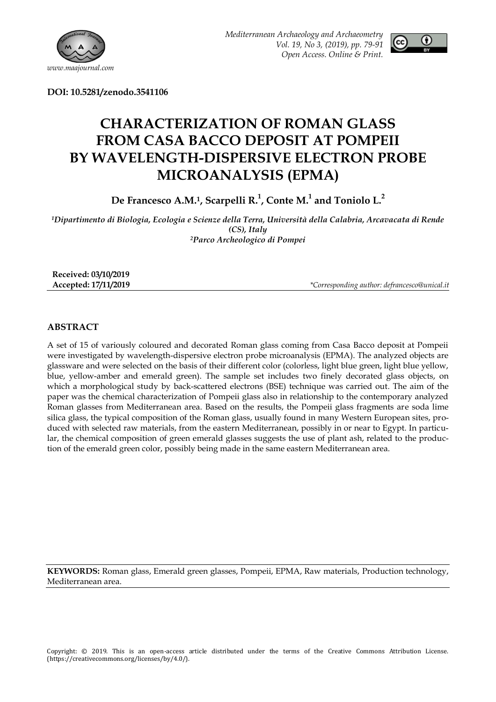

*Mediterranean Archaeology and Archaeometry Vol. 19, No 3, (2019), pp. 79-91 Open Access. Online & Print.*



**DOI: 10.5281/zenodo.3541106**

# **CHARACTERIZATION OF ROMAN GLASS FROM CASA BACCO DEPOSIT AT POMPEII BY WAVELENGTH-DISPERSIVE ELECTRON PROBE MICROANALYSIS (EPMA)**

**De Francesco A.M.1, Scarpelli R.<sup>1</sup> , Conte M.<sup>1</sup> and Toniolo L.<sup>2</sup>**

*<sup>1</sup>Dipartimento di Biologia, Ecologia e Scienze della Terra, Università della Calabria, Arcavacata di Rende (CS), Italy <sup>2</sup>Parco Archeologico di Pompei*

| Received: 03/10/2019 |                                              |
|----------------------|----------------------------------------------|
| Accepted: 17/11/2019 | *Corresponding author: defrancesco@unical.it |

## **ABSTRACT**

A set of 15 of variously coloured and decorated Roman glass coming from Casa Bacco deposit at Pompeii were investigated by wavelength-dispersive electron probe microanalysis (EPMA). The analyzed objects are glassware and were selected on the basis of their different color (colorless, light blue green, light blue yellow, blue, yellow-amber and emerald green). The sample set includes two finely decorated glass objects, on which a morphological study by back-scattered electrons (BSE) technique was carried out. The aim of the paper was the chemical characterization of Pompeii glass also in relationship to the contemporary analyzed Roman glasses from Mediterranean area. Based on the results, the Pompeii glass fragments are soda lime silica glass, the typical composition of the Roman glass, usually found in many Western European sites, produced with selected raw materials, from the eastern Mediterranean, possibly in or near to Egypt. In particular, the chemical composition of green emerald glasses suggests the use of plant ash, related to the production of the emerald green color, possibly being made in the same eastern Mediterranean area.

**KEYWORDS:** Roman glass, Emerald green glasses, Pompeii, EPMA, Raw materials, Production technology, Mediterranean area.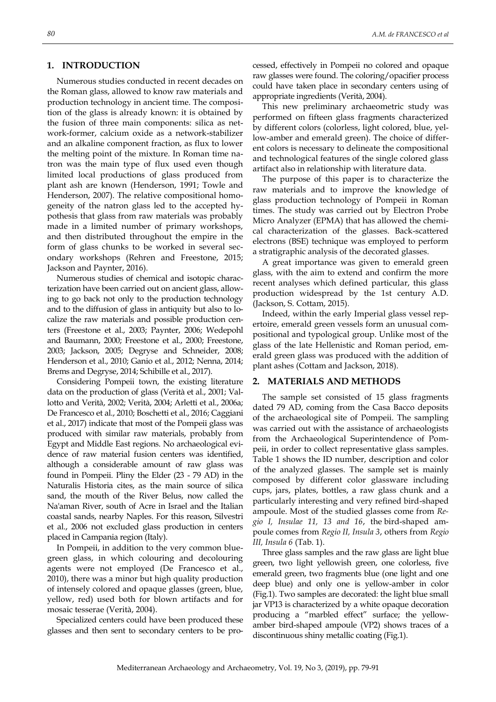## **1. INTRODUCTION**

Numerous studies conducted in recent decades on the Roman glass, allowed to know raw materials and production technology in ancient time. The composition of the glass is already known: it is obtained by the fusion of three main components: silica as network-former, calcium oxide as a network-stabilizer and an alkaline component fraction, as flux to lower the melting point of the mixture. In Roman time natron was the main type of flux used even though limited local productions of glass produced from plant ash are known (Henderson, 1991; Towle and Henderson, 2007). The relative compositional homogeneity of the natron glass led to the accepted hypothesis that glass from raw materials was probably made in a limited number of primary workshops, and then distributed throughout the empire in the form of glass chunks to be worked in several secondary workshops (Rehren and Freestone, 2015; Jackson and Paynter, 2016).

Numerous studies of chemical and isotopic characterization have been carried out on ancient glass, allowing to go back not only to the production technology and to the diffusion of glass in antiquity but also to localize the raw materials and possible production centers (Freestone et al., 2003; Paynter, 2006; Wedepohl and Baumann, 2000; Freestone et al., 2000; Freestone, 2003; Jackson, 2005; Degryse and Schneider, 2008; Henderson et al., 2010; Ganio et al., 2012; Nenna, 2014; Brems and Degryse, 2014; Schibille et al., 2017).

Considering Pompeii town, the existing literature data on the production of glass (Verità et al., 2001; Vallotto and Verità, 2002; Verità, 2004; Arletti et al., 2006a; De Francesco et al., 2010; Boschetti et al., 2016; Caggiani et al., 2017) indicate that most of the Pompeii glass was produced with similar raw materials, probably from Egypt and Middle East regions. No archaeological evidence of raw material fusion centers was identified, although a considerable amount of raw glass was found in Pompeii. Pliny the Elder (23 - 79 AD) in the Naturalis Historia cites, as the main source of silica sand, the mouth of the River Belus, now called the Na'aman River, south of Acre in Israel and the Italian coastal sands, nearby Naples. For this reason, Silvestri et al., 2006 not excluded glass production in centers placed in Campania region (Italy).

In Pompeii, in addition to the very common bluegreen glass, in which colouring and decolouring agents were not employed (De Francesco et al., 2010), there was a minor but high quality production of intensely colored and opaque glasses (green, blue, yellow, red) used both for blown artifacts and for mosaic tesserae (Verità, 2004).

Specialized centers could have been produced these glasses and then sent to secondary centers to be processed, effectively in Pompeii no colored and opaque raw glasses were found. The coloring/opacifier process could have taken place in secondary centers using of appropriate ingredients (Verità, 2004).

This new preliminary archaeometric study was performed on fifteen glass fragments characterized by different colors (colorless, light colored, blue, yellow-amber and emerald green). The choice of different colors is necessary to delineate the compositional and technological features of the single colored glass artifact also in relationship with literature data.

The purpose of this paper is to characterize the raw materials and to improve the knowledge of glass production technology of Pompeii in Roman times. The study was carried out by Electron Probe Micro Analyzer (EPMA) that has allowed the chemical characterization of the glasses. Back-scattered electrons (BSE) technique was employed to perform a stratigraphic analysis of the decorated glasses.

A great importance was given to emerald green glass, with the aim to extend and confirm the more recent analyses which defined particular, this glass production widespread by the 1st century A.D. (Jackson, S. Cottam, 2015).

Indeed, within the early Imperial glass vessel repertoire, emerald green vessels form an unusual compositional and typological group. Unlike most of the glass of the late Hellenistic and Roman period, emerald green glass was produced with the addition of plant ashes (Cottam and Jackson, 2018).

## **2. MATERIALS AND METHODS**

The sample set consisted of 15 glass fragments dated 79 AD, coming from the Casa Bacco deposits of the archaeological site of Pompeii. The sampling was carried out with the assistance of archaeologists from the Archaeological Superintendence of Pompeii, in order to collect representative glass samples. Table 1 shows the ID number, description and color of the analyzed glasses. The sample set is mainly composed by different color glassware including cups, jars, plates, bottles, a raw glass chunk and a particularly interesting and very refined bird-shaped ampoule. Most of the studied glasses come from *Regio I, Insulae 11, 13 and 16*, the bird-shaped ampoule comes from *Regio II, Insula 3*, others from *Regio III, Insula 6* (Tab. 1).

Three glass samples and the raw glass are light blue green, two light yellowish green, one colorless, five emerald green, two fragments blue (one light and one deep blue) and only one is yellow-amber in color (Fig.1). Two samples are decorated: the light blue small jar VP13 is characterized by a white opaque decoration producing a "marbled effect" surface; the yellowamber bird-shaped ampoule (VP2) shows traces of a discontinuous shiny metallic coating (Fig.1).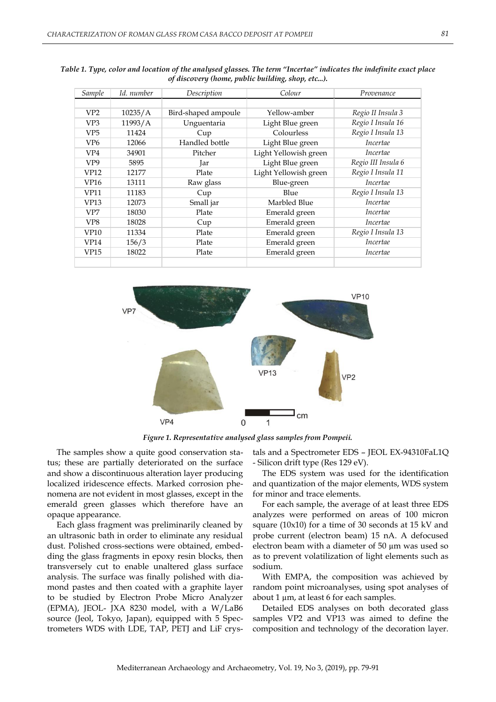| Sample          | Id. number | Colour<br>Description |                       | Provenance         |  |
|-----------------|------------|-----------------------|-----------------------|--------------------|--|
|                 |            |                       |                       |                    |  |
| VP2             | 10235/A    | Bird-shaped ampoule   | Yellow-amber          | Regio II Insula 3  |  |
| VP3             | 11993/A    | Unguentaria           | Light Blue green      | Regio I Insula 16  |  |
| VP <sub>5</sub> | 11424      | Cup                   | Colourless            | Regio I Insula 13  |  |
| VP <sub>6</sub> | 12066      | Handled bottle        | Light Blue green      | <i>Incertae</i>    |  |
| VP <sub>4</sub> | 34901      | Pitcher               | Light Yellowish green | <i>Incertae</i>    |  |
| VP <sub>9</sub> | 5895       | Jar                   | Light Blue green      | Regio III Insula 6 |  |
| VP12            | 12177      | Plate                 | Light Yellowish green | Regio I Insula 11  |  |
| VP16            | 13111      | Raw glass             | Blue-green            | <i>Incertae</i>    |  |
| VP11            | 11183      | Cup                   | Blue                  | Regio I Insula 13  |  |
| VP13            | 12073      | Small jar             | Marbled Blue          | <i>Incertae</i>    |  |
| VP7             | 18030      | Plate                 | Emerald green         | Incertae           |  |
| VP8             | 18028      | Cup                   | Emerald green         | Incertae           |  |
| <b>VP10</b>     | 11334      | Plate                 | Emerald green         | Regio I Insula 13  |  |
| VP14            | 156/3      | Plate                 | Emerald green         | <i>Incertae</i>    |  |
| <b>VP15</b>     | 18022      | Plate                 | Emerald green         | <i>Incertae</i>    |  |
|                 |            |                       |                       |                    |  |

*Table 1. Type, color and location of the analysed glasses. The term "Incertae" indicates the indefinite exact place of discovery (home, public building, shop, etc...).*



*Figure 1. Representative analysed glass samples from Pompeii.*

The samples show a quite good conservation status; these are partially deteriorated on the surface and show a discontinuous alteration layer producing localized iridescence effects. Marked corrosion phenomena are not evident in most glasses, except in the emerald green glasses which therefore have an opaque appearance.

Each glass fragment was preliminarily cleaned by an ultrasonic bath in order to eliminate any residual dust. Polished cross-sections were obtained, embedding the glass fragments in epoxy resin blocks, then transversely cut to enable unaltered glass surface analysis. The surface was finally polished with diamond pastes and then coated with a graphite layer to be studied by Electron Probe Micro Analyzer (EPMA), JEOL- JXA 8230 model, with a W/LaB6 source (Jeol, Tokyo, Japan), equipped with 5 Spectrometers WDS with LDE, TAP, PETJ and LiF crystals and a Spectrometer EDS – JEOL EX-94310FaL1Q - Silicon drift type (Res 129 eV).

The EDS system was used for the identification and quantization of the major elements, WDS system for minor and trace elements.

For each sample, the average of at least three EDS analyzes were performed on areas of 100 micron square (10x10) for a time of 30 seconds at 15 kV and probe current (electron beam) 15 nA. A defocused electron beam with a diameter of 50 µm was used so as to prevent volatilization of light elements such as sodium.

With EMPA, the composition was achieved by random point microanalyses, using spot analyses of about 1  $\mu$ m, at least 6 for each samples.

Detailed EDS analyses on both decorated glass samples VP2 and VP13 was aimed to define the composition and technology of the decoration layer.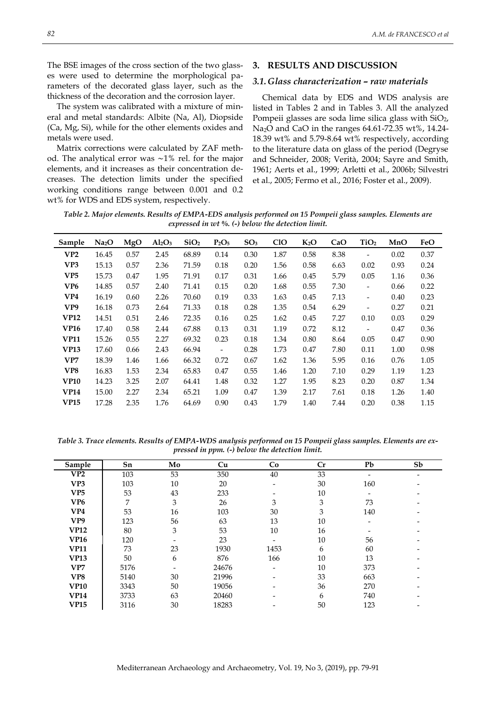The BSE images of the cross section of the two glasses were used to determine the morphological parameters of the decorated glass layer, such as the thickness of the decoration and the corrosion layer.

The system was calibrated with a mixture of mineral and metal standards: Albite (Na, Al), Diopside (Ca, Mg, Si), while for the other elements oxides and metals were used.

Matrix corrections were calculated by ZAF method. The analytical error was ∼1% rel. for the major elements, and it increases as their concentration decreases. The detection limits under the specified working conditions range between 0.001 and 0.2 wt% for WDS and EDS system, respectively.

#### **3. RESULTS AND DISCUSSION**

#### *3.1.Glass characterization – raw materials*

Chemical data by EDS and WDS analysis are listed in Tables 2 and in Tables 3. All the analyzed Pompeii glasses are soda lime silica glass with SiO<sub>2</sub>, Na2O and CaO in the ranges 64.61-72.35 wt%, 14.24- 18.39 wt% and 5.79-8.64 wt% respectively, according to the literature data on glass of the period (Degryse and Schneider, 2008; Verità, 2004; Sayre and Smith, 1961; Aerts et al., 1999; Arletti et al., 2006b; Silvestri et al., 2005; Fermo et al., 2016; Foster et al., 2009).

*Table 2. Major elements. Results of EMPA-EDS analysis performed on 15 Pompeii glass samples. Elements are expressed in wt %. (-) below the detection limit.*

| Sample          | Na <sub>2</sub> O | MgO  | $Al_2O_3$ | SiO <sub>2</sub> | $P_2O_5$                 | SO <sub>3</sub> | CIO  | $K_2O$ | CaO  | TiO <sub>2</sub>         | MnO  | FeO  |
|-----------------|-------------------|------|-----------|------------------|--------------------------|-----------------|------|--------|------|--------------------------|------|------|
| VP2             | 16.45             | 0.57 | 2.45      | 68.89            | 0.14                     | 0.30            | 1.87 | 0.58   | 8.38 | $\overline{\phantom{a}}$ | 0.02 | 0.37 |
| VP3             | 15.13             | 0.57 | 2.36      | 71.59            | 0.18                     | 0.20            | 1.56 | 0.58   | 6.63 | 0.02                     | 0.93 | 0.24 |
| VP <sub>5</sub> | 15.73             | 0.47 | 1.95      | 71.91            | 0.17                     | 0.31            | 1.66 | 0.45   | 5.79 | 0.05                     | 1.16 | 0.36 |
| VP6             | 14.85             | 0.57 | 2.40      | 71.41            | 0.15                     | 0.20            | 1.68 | 0.55   | 7.30 | $\overline{\phantom{a}}$ | 0.66 | 0.22 |
| VP4             | 16.19             | 0.60 | 2.26      | 70.60            | 0.19                     | 0.33            | 1.63 | 0.45   | 7.13 | $\overline{\phantom{a}}$ | 0.40 | 0.23 |
| VP9             | 16.18             | 0.73 | 2.64      | 71.33            | 0.18                     | 0.28            | 1.35 | 0.54   | 6.29 | $\overline{\phantom{a}}$ | 0.27 | 0.21 |
| <b>VP12</b>     | 14.51             | 0.51 | 2.46      | 72.35            | 0.16                     | 0.25            | 1.62 | 0.45   | 7.27 | 0.10                     | 0.03 | 0.29 |
| <b>VP16</b>     | 17.40             | 0.58 | 2.44      | 67.88            | 0.13                     | 0.31            | 1.19 | 0.72   | 8.12 | $\overline{\phantom{a}}$ | 0.47 | 0.36 |
| <b>VP11</b>     | 15.26             | 0.55 | 2.27      | 69.32            | 0.23                     | 0.18            | 1.34 | 0.80   | 8.64 | 0.05                     | 0.47 | 0.90 |
| <b>VP13</b>     | 17.60             | 0.66 | 2.43      | 66.94            | $\overline{\phantom{a}}$ | 0.28            | 1.73 | 0.47   | 7.80 | 0.11                     | 1.00 | 0.98 |
| VP7             | 18.39             | 1.46 | 1.66      | 66.32            | 0.72                     | 0.67            | 1.62 | 1.36   | 5.95 | 0.16                     | 0.76 | 1.05 |
| VP8             | 16.83             | 1.53 | 2.34      | 65.83            | 0.47                     | 0.55            | 1.46 | 1.20   | 7.10 | 0.29                     | 1.19 | 1.23 |
| <b>VP10</b>     | 14.23             | 3.25 | 2.07      | 64.41            | 1.48                     | 0.32            | 1.27 | 1.95   | 8.23 | 0.20                     | 0.87 | 1.34 |
| <b>VP14</b>     | 15.00             | 2.27 | 2.34      | 65.21            | 1.09                     | 0.47            | 1.39 | 2.17   | 7.61 | 0.18                     | 1.26 | 1.40 |
| <b>VP15</b>     | 17.28             | 2.35 | 1.76      | 64.69            | 0.90                     | 0.43            | 1.79 | 1.40   | 7.44 | 0.20                     | 0.38 | 1.15 |

*Table 3. Trace elements. Results of EMPA-WDS analysis performed on 15 Pompeii glass samples. Elements are expressed in ppm. (-) below the detection limit.*

| Sample          | Sn   | Mo | Cu    | Co                       | Cr | Pb                       | Sb |
|-----------------|------|----|-------|--------------------------|----|--------------------------|----|
| VP2             | 103  | 53 | 350   | 40                       | 33 |                          |    |
| VP3             | 103  | 10 | 20    | $\overline{\phantom{a}}$ | 30 | 160                      |    |
| VP5             | 53   | 43 | 233   | $\overline{\phantom{a}}$ | 10 | $\overline{\phantom{a}}$ |    |
| VP <sub>6</sub> | 7    | 3  | 26    | 3                        | 3  | 73                       |    |
| VP <sub>4</sub> | 53   | 16 | 103   | 30                       | 3  | 140                      |    |
| VP9             | 123  | 56 | 63    | 13                       | 10 | $\overline{\phantom{a}}$ |    |
| <b>VP12</b>     | 80   | 3  | 53    | 10                       | 16 |                          |    |
| <b>VP16</b>     | 120  |    | 23    |                          | 10 | 56                       |    |
| <b>VP11</b>     | 73   | 23 | 1930  | 1453                     | 6  | 60                       |    |
| <b>VP13</b>     | 50   | 6  | 876   | 166                      | 10 | 13                       |    |
| VP7             | 5176 | -  | 24676 | $\overline{\phantom{a}}$ | 10 | 373                      |    |
| VP8             | 5140 | 30 | 21996 | $\overline{\phantom{a}}$ | 33 | 663                      |    |
| <b>VP10</b>     | 3343 | 50 | 19056 |                          | 36 | 270                      |    |
| <b>VP14</b>     | 3733 | 63 | 20460 |                          | 6  | 740                      |    |
| <b>VP15</b>     | 3116 | 30 | 18283 |                          | 50 | 123                      |    |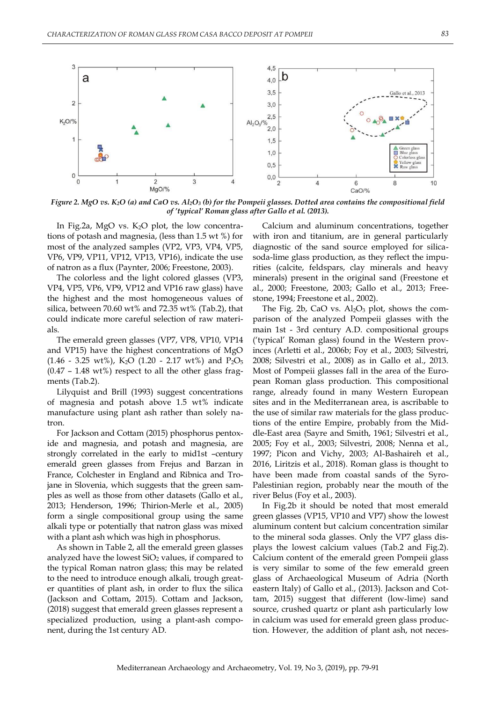

*Figure 2. MgO vs. K2O (a) and CaO vs. Al2O<sup>3</sup> (b) for the Pompeii glasses. Dotted area contains the compositional field of 'typical' Roman glass after Gallo et al. (2013).*

In Fig.2a, MgO vs.  $K_2O$  plot, the low concentrations of potash and magnesia, (less than 1.5 wt %) for most of the analyzed samples (VP2, VP3, VP4, VP5, VP6, VP9, VP11, VP12, VP13, VP16), indicate the use of natron as a flux (Paynter, 2006; Freestone, 2003).

The colorless and the light colored glasses (VP3, VP4, VP5, VP6, VP9, VP12 and VP16 raw glass) have the highest and the most homogeneous values of silica, between 70.60 wt% and 72.35 wt% (Tab.2), that could indicate more careful selection of raw materials.

The emerald green glasses (VP7, VP8, VP10, VP14 and VP15) have the highest concentrations of MgO (1.46 - 3.25 wt%), K<sub>2</sub>O (1.20 - 2.17 wt%) and P<sub>2</sub>O<sub>5</sub>  $(0.47 - 1.48 \text{ wt\%})$  respect to all the other glass fragments (Tab.2).

Lilyquist and Brill (1993) suggest concentrations of magnesia and potash above 1.5 wt% indicate manufacture using plant ash rather than solely natron.

For Jackson and Cottam (2015) phosphorus pentoxide and magnesia, and potash and magnesia, are strongly correlated in the early to mid1st –century emerald green glasses from Frejus and Barzan in France, Colchester in England and Ribnica and Trojane in Slovenia, which suggests that the green samples as well as those from other datasets (Gallo et al., 2013; Henderson, 1996; Thirion-Merle et al., 2005) form a single compositional group using the same alkali type or potentially that natron glass was mixed with a plant ash which was high in phosphorus.

As shown in Table 2, all the emerald green glasses analyzed have the lowest  $SiO<sub>2</sub>$  values, if compared to the typical Roman natron glass; this may be related to the need to introduce enough alkali, trough greater quantities of plant ash, in order to flux the silica (Jackson and Cottam, 2015). Cottam and Jackson, (2018) suggest that emerald green glasses represent a specialized production, using a plant-ash component, during the 1st century AD.

Calcium and aluminum concentrations, together with iron and titanium, are in general particularly diagnostic of the sand source employed for silicasoda-lime glass production, as they reflect the impurities (calcite, feldspars, clay minerals and heavy minerals) present in the original sand (Freestone et al., 2000; Freestone, 2003; Gallo et al., 2013; Freestone, 1994; Freestone et al., 2002).

The Fig. 2b, CaO vs.  $Al_2O_3$  plot, shows the comparison of the analyzed Pompeii glasses with the main 1st - 3rd century A.D. compositional groups ("typical" Roman glass) found in the Western provinces (Arletti et al., 2006b; Foy et al., 2003; Silvestri, 2008; Silvestri et al., 2008) as in Gallo et al., 2013. Most of Pompeii glasses fall in the area of the European Roman glass production. This compositional range, already found in many Western European sites and in the Mediterranean area, is ascribable to the use of similar raw materials for the glass productions of the entire Empire, probably from the Middle-East area (Sayre and Smith, 1961; Silvestri et al., 2005; Foy et al., 2003; Silvestri, 2008; Nenna et al., 1997; Picon and Vichy, 2003; Al-Bashaireh et al., 2016, Liritzis et al., 2018). Roman glass is thought to have been made from coastal sands of the Syro-Palestinian region, probably near the mouth of the river Belus (Foy et al., 2003).

In Fig.2b it should be noted that most emerald green glasses (VP15, VP10 and VP7) show the lowest aluminum content but calcium concentration similar to the mineral soda glasses. Only the VP7 glass displays the lowest calcium values (Tab.2 and Fig.2). Calcium content of the emerald green Pompeii glass is very similar to some of the few emerald green glass of Archaeological Museum of Adria (North eastern Italy) of Gallo et al., (2013). Jackson and Cottam, 2015) suggest that different (low-lime) sand source, crushed quartz or plant ash particularly low in calcium was used for emerald green glass production. However, the addition of plant ash, not neces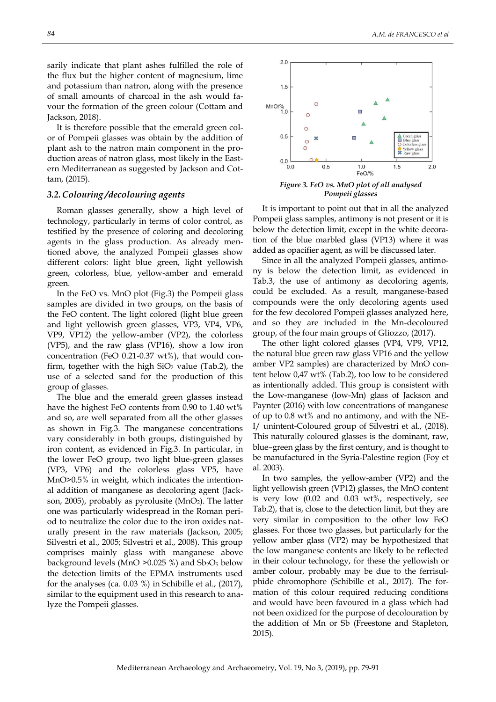sarily indicate that plant ashes fulfilled the role of the flux but the higher content of magnesium, lime and potassium than natron, along with the presence of small amounts of charcoal in the ash would favour the formation of the green colour (Cottam and Jackson, 2018).

It is therefore possible that the emerald green color of Pompeii glasses was obtain by the addition of plant ash to the natron main component in the production areas of natron glass, most likely in the Eastern Mediterranean as suggested by Jackson and Cottam, (2015).

## *3.2.Colouring /decolouring agents*

Roman glasses generally, show a high level of technology, particularly in terms of color control, as testified by the presence of coloring and decoloring agents in the glass production. As already mentioned above, the analyzed Pompeii glasses show different colors: light blue green, light yellowish green, colorless, blue, yellow-amber and emerald green.

In the FeO vs. MnO plot (Fig.3) the Pompeii glass samples are divided in two groups, on the basis of the FeO content. The light colored (light blue green and light yellowish green glasses, VP3, VP4, VP6, VP9, VP12) the yellow-amber (VP2), the colorless (VP5), and the raw glass (VP16), show a low iron concentration (FeO 0.21-0.37 wt%), that would confirm, together with the high  $SiO<sub>2</sub>$  value (Tab.2), the use of a selected sand for the production of this group of glasses.

The blue and the emerald green glasses instead have the highest FeO contents from 0.90 to 1.40 wt% and so, are well separated from all the other glasses as shown in Fig.3. The manganese concentrations vary considerably in both groups, distinguished by iron content, as evidenced in Fig.3. In particular, in the lower FeO group, two light blue-green glasses (VP3, VP6) and the colorless glass VP5, have MnO>0.5% in weight, which indicates the intentional addition of manganese as decoloring agent (Jackson, 2005), probably as pyrolusite (MnO<sub>2</sub>). The latter one was particularly widespread in the Roman period to neutralize the color due to the iron oxides naturally present in the raw materials (Jackson, 2005; Silvestri et al., 2005; Silvestri et al., 2008). This group comprises mainly glass with manganese above background levels (MnO  $>0.025$  %) and  $Sb<sub>2</sub>O<sub>5</sub>$  below the detection limits of the EPMA instruments used for the analyses (ca. 0.03 %) in Schibille et al., (2017), similar to the equipment used in this research to analyze the Pompeii glasses.



*Figure 3. FeO vs. MnO plot of all analysed Pompeii glasses*

It is important to point out that in all the analyzed Pompeii glass samples, antimony is not present or it is below the detection limit, except in the white decoration of the blue marbled glass (VP13) where it was added as opacifier agent, as will be discussed later.

Since in all the analyzed Pompeii glasses, antimony is below the detection limit, as evidenced in Tab.3, the use of antimony as decoloring agents, could be excluded. As a result, manganese-based compounds were the only decoloring agents used for the few decolored Pompeii glasses analyzed here, and so they are included in the Mn-decoloured group, of the four main groups of Gliozzo, (2017).

The other light colored glasses (VP4, VP9, VP12, the natural blue green raw glass VP16 and the yellow amber VP2 samples) are characterized by MnO content below 0,47 wt% (Tab.2), too low to be considered as intentionally added. This group is consistent with the Low-manganese (low-Mn) glass of Jackson and Paynter (2016) with low concentrations of manganese of up to 0.8 wt% and no antimony, and with the NE-I/ unintent-Coloured group of Silvestri et al., (2018). This naturally coloured glasses is the dominant, raw, blue–green glass by the first century, and is thought to be manufactured in the Syria-Palestine region (Foy et al. 2003).

In two samples, the yellow-amber (VP2) and the light yellowish green (VP12) glasses, the MnO content is very low (0.02 and 0.03 wt%, respectively, see Tab.2), that is, close to the detection limit, but they are very similar in composition to the other low FeO glasses. For those two glasses, but particularly for the yellow amber glass (VP2) may be hypothesized that the low manganese contents are likely to be reflected in their colour technology, for these the yellowish or amber colour, probably may be due to the ferrisulphide chromophore (Schibille et al., 2017). The formation of this colour required reducing conditions and would have been favoured in a glass which had not been oxidized for the purpose of decolouration by the addition of Mn or Sb (Freestone and Stapleton, 2015).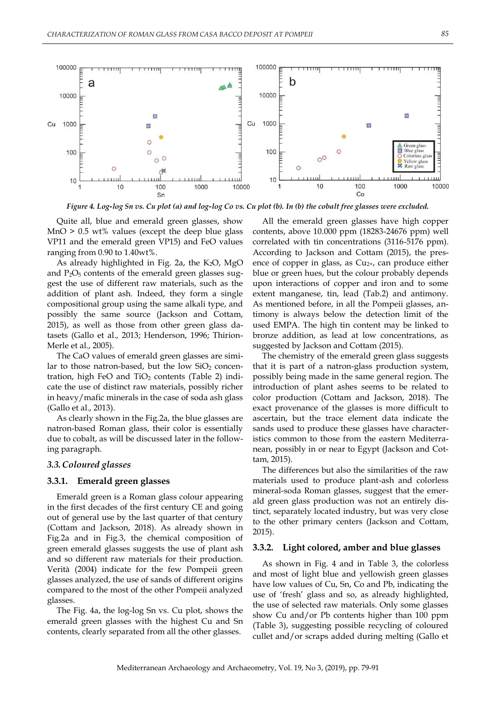

*Figure 4. Log-log Sn vs. Cu plot (a) and log-log Co vs. Cu plot (b). In (b) the cobalt free glasses were excluded.*

Quite all, blue and emerald green glasses, show MnO > 0.5 wt% values (except the deep blue glass VP11 and the emerald green VP15) and FeO values ranging from 0.90 to 1.40wt%.

As already highlighted in Fig. 2a, the  $K_2O$ , MgO and  $P_2O_5$  contents of the emerald green glasses suggest the use of different raw materials, such as the addition of plant ash. Indeed, they form a single compositional group using the same alkali type, and possibly the same source (Jackson and Cottam, 2015), as well as those from other green glass datasets (Gallo et al., 2013; Henderson, 1996; Thirion-Merle et al., 2005).

The CaO values of emerald green glasses are similar to those natron-based, but the low  $SiO<sub>2</sub>$  concentration, high FeO and  $TiO<sub>2</sub>$  contents (Table 2) indicate the use of distinct raw materials, possibly richer in heavy/mafic minerals in the case of soda ash glass (Gallo et al., 2013).

As clearly shown in the Fig.2a, the blue glasses are natron-based Roman glass, their color is essentially due to cobalt, as will be discussed later in the following paragraph.

#### *3.3.Coloured glasses*

#### **3.3.1. Emerald green glasses**

Emerald green is a Roman glass colour appearing in the first decades of the first century CE and going out of general use by the last quarter of that century (Cottam and Jackson, 2018). As already shown in Fig.2a and in Fig.3, the chemical composition of green emerald glasses suggests the use of plant ash and so different raw materials for their production. Verità (2004) indicate for the few Pompeii green glasses analyzed, the use of sands of different origins compared to the most of the other Pompeii analyzed glasses.

The Fig. 4a, the log-log Sn vs. Cu plot, shows the emerald green glasses with the highest Cu and Sn contents, clearly separated from all the other glasses.

All the emerald green glasses have high copper contents, above 10.000 ppm (18283-24676 ppm) well correlated with tin concentrations (3116-5176 ppm). According to Jackson and Cottam (2015), the presence of copper in glass, as  $Cu<sub>2+</sub>$ , can produce either blue or green hues, but the colour probably depends upon interactions of copper and iron and to some extent manganese, tin, lead (Tab.2) and antimony. As mentioned before, in all the Pompeii glasses, antimony is always below the detection limit of the used EMPA. The high tin content may be linked to bronze addition, as lead at low concentrations, as suggested by Jackson and Cottam (2015).

The chemistry of the emerald green glass suggests that it is part of a natron-glass production system, possibly being made in the same general region. The introduction of plant ashes seems to be related to color production (Cottam and Jackson, 2018). The exact provenance of the glasses is more difficult to ascertain, but the trace element data indicate the sands used to produce these glasses have characteristics common to those from the eastern Mediterranean, possibly in or near to Egypt (Jackson and Cottam, 2015).

The differences but also the similarities of the raw materials used to produce plant-ash and colorless mineral-soda Roman glasses, suggest that the emerald green glass production was not an entirely distinct, separately located industry, but was very close to the other primary centers (Jackson and Cottam, 2015).

#### **3.3.2. Light colored, amber and blue glasses**

As shown in Fig. 4 and in Table 3, the colorless and most of light blue and yellowish green glasses have low values of Cu, Sn, Co and Pb, indicating the use of "fresh" glass and so, as already highlighted, the use of selected raw materials. Only some glasses show Cu and/or Pb contents higher than 100 ppm (Table 3), suggesting possible recycling of coloured cullet and/or scraps added during melting (Gallo et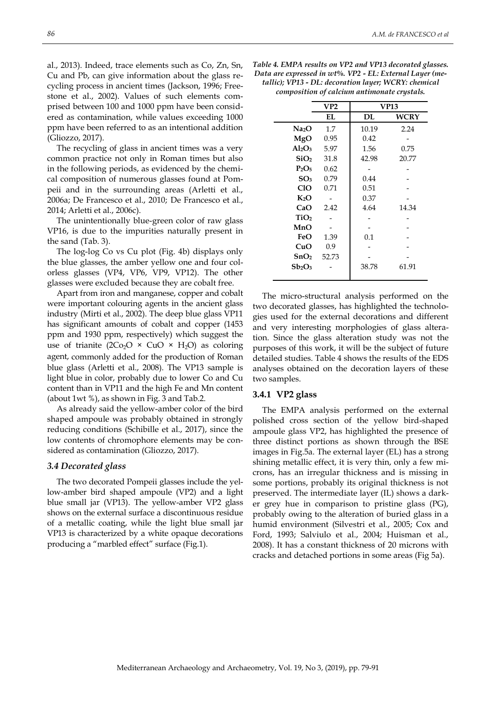al., 2013). Indeed, trace elements such as Co, Zn, Sn, Cu and Pb, can give information about the glass recycling process in ancient times (Jackson, 1996; Freestone et al., 2002). Values of such elements comprised between 100 and 1000 ppm have been considered as contamination, while values exceeding 1000 ppm have been referred to as an intentional addition (Gliozzo, 2017).

The recycling of glass in ancient times was a very common practice not only in Roman times but also in the following periods, as evidenced by the chemical composition of numerous glasses found at Pompeii and in the surrounding areas (Arletti et al., 2006a; De Francesco et al., 2010; De Francesco et al., 2014; Arletti et al., 2006c).

The unintentionally blue-green color of raw glass VP16, is due to the impurities naturally present in the sand (Tab. 3).

The log-log Co vs Cu plot (Fig. 4b) displays only the blue glasses, the amber yellow one and four colorless glasses (VP4, VP6, VP9, VP12). The other glasses were excluded because they are cobalt free.

Apart from iron and manganese, copper and cobalt were important colouring agents in the ancient glass industry (Mirti et al., 2002). The deep blue glass VP11 has significant amounts of cobalt and copper (1453 ppm and 1930 ppm, respectively) which suggest the use of trianite (2Co<sub>2</sub>O × CuO × H<sub>2</sub>O) as coloring agent, commonly added for the production of Roman blue glass (Arletti et al., 2008). The VP13 sample is light blue in color, probably due to lower Co and Cu content than in VP11 and the high Fe and Mn content (about 1wt %), as shown in Fig. 3 and Tab.2.

As already said the yellow-amber color of the bird shaped ampoule was probably obtained in strongly reducing conditions (Schibille et al., 2017), since the low contents of chromophore elements may be considered as contamination (Gliozzo, 2017).

#### *3.4 Decorated glass*

The two decorated Pompeii glasses include the yellow-amber bird shaped ampoule (VP2) and a light blue small jar (VP13). The yellow-amber VP2 glass shows on the external surface a discontinuous residue of a metallic coating, while the light blue small jar VP13 is characterized by a white opaque decorations producing a "marbled effect" surface (Fig.1).

*Table 4. EMPA results on VP2 and VP13 decorated glasses. Data are expressed in wt%. VP2 - EL: External Layer (metallic); VP13 - DL: decoration layer; WCRY: chemical composition of calcium antimonate crystals.*

|                                | VP2   | <b>VP13</b> |       |  |
|--------------------------------|-------|-------------|-------|--|
|                                | EL    | DL          | WCRY  |  |
| Na2O                           | 1.7   | 10.19       | 2.24  |  |
| MgO                            | 0.95  | 0.42        |       |  |
| $Al_2O_3$                      | 5.97  | 1.56        | 0.75  |  |
| SiO <sub>2</sub>               | 31.8  | 42.98       | 20.77 |  |
| $P_2O_5$                       | 0.62  |             |       |  |
| SO <sub>3</sub>                | 0.79  | 0.44        |       |  |
| CIO                            | 0.71  | 0.51        |       |  |
| K2O                            |       | 0.37        |       |  |
| CaO                            | 2.42  | 4.64        | 14.34 |  |
| TiO <sub>2</sub>               |       |             |       |  |
| MnO                            |       |             |       |  |
| FeO                            | 1.39  | 0.1         |       |  |
| CuO                            | 0.9   |             |       |  |
| SnO <sub>2</sub>               | 52.73 |             |       |  |
| Sb <sub>2</sub> O <sub>3</sub> |       | 38.78       | 61.91 |  |
|                                |       |             |       |  |

The micro-structural analysis performed on the two decorated glasses, has highlighted the technologies used for the external decorations and different and very interesting morphologies of glass alteration. Since the glass alteration study was not the purposes of this work, it will be the subject of future detailed studies. Table 4 shows the results of the EDS analyses obtained on the decoration layers of these two samples.

#### **3.4.1 VP2 glass**

The EMPA analysis performed on the external polished cross section of the yellow bird-shaped ampoule glass VP2, has highlighted the presence of three distinct portions as shown through the BSE images in Fig.5a. The external layer (EL) has a strong shining metallic effect, it is very thin, only a few microns, has an irregular thickness and is missing in some portions, probably its original thickness is not preserved. The intermediate layer (IL) shows a darker grey hue in comparison to pristine glass (PG), probably owing to the alteration of buried glass in a humid environment (Silvestri et al., 2005; Cox and Ford, 1993; Salviulo et al., 2004; Huisman et al., 2008). It has a constant thickness of 20 microns with cracks and detached portions in some areas (Fig 5a).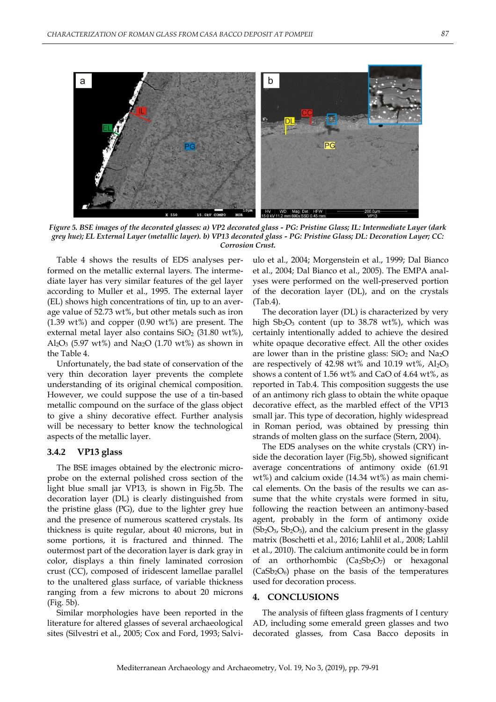

*Figure 5. BSE images of the decorated glasses: a) VP2 decorated glass - PG: Pristine Glass; IL: Intermediate Layer (dark grey hue); EL External Layer (metallic layer). b) VP13 decorated glass - PG: Pristine Glass; DL: Decoration Layer; CC: Corrosion Crust.*

Table 4 shows the results of EDS analyses performed on the metallic external layers. The intermediate layer has very similar features of the gel layer according to Muller et al., 1995. The external layer (EL) shows high concentrations of tin, up to an average value of 52.73 wt%, but other metals such as iron (1.39 wt%) and copper (0.90 wt%) are present. The external metal layer also contains  $SiO<sub>2</sub>$  (31.80 wt%),  $Al_2O_3$  (5.97 wt%) and Na<sub>2</sub>O (1.70 wt%) as shown in the Table 4.

Unfortunately, the bad state of conservation of the very thin decoration layer prevents the complete understanding of its original chemical composition. However, we could suppose the use of a tin-based metallic compound on the surface of the glass object to give a shiny decorative effect. Further analysis will be necessary to better know the technological aspects of the metallic layer.

## **3.4.2 VP13 glass**

The BSE images obtained by the electronic microprobe on the external polished cross section of the light blue small jar VP13, is shown in Fig.5b. The decoration layer (DL) is clearly distinguished from the pristine glass (PG), due to the lighter grey hue and the presence of numerous scattered crystals. Its thickness is quite regular, about 40 microns, but in some portions, it is fractured and thinned. The outermost part of the decoration layer is dark gray in color, displays a thin finely laminated corrosion crust (CC), composed of iridescent lamellae parallel to the unaltered glass surface, of variable thickness ranging from a few microns to about 20 microns (Fig. 5b).

Similar morphologies have been reported in the literature for altered glasses of several archaeological sites (Silvestri et al., 2005; Cox and Ford, 1993; Salviulo et al., 2004; Morgenstein et al., 1999; Dal Bianco et al., 2004; Dal Bianco et al., 2005). The EMPA analyses were performed on the well-preserved portion of the decoration layer (DL), and on the crystals (Tab.4).

The decoration layer (DL) is characterized by very high  $Sb_2O_3$  content (up to 38.78 wt%), which was certainly intentionally added to achieve the desired white opaque decorative effect. All the other oxides are lower than in the pristine glass:  $SiO<sub>2</sub>$  and Na<sub>2</sub>O are respectively of 42.98 wt% and 10.19 wt%,  $Al_2O_3$ shows a content of 1.56 wt% and CaO of 4.64 wt%, as reported in Tab.4. This composition suggests the use of an antimony rich glass to obtain the white opaque decorative effect, as the marbled effect of the VP13 small jar. This type of decoration, highly widespread in Roman period, was obtained by pressing thin strands of molten glass on the surface (Stern, 2004).

The EDS analyses on the white crystals (CRY) inside the decoration layer (Fig.5b), showed significant average concentrations of antimony oxide (61.91 wt%) and calcium oxide (14.34 wt%) as main chemical elements. On the basis of the results we can assume that the white crystals were formed in situ, following the reaction between an antimony-based agent, probably in the form of antimony oxide  $(Sb<sub>2</sub>O<sub>3</sub>, Sb<sub>2</sub>O<sub>5</sub>)$ , and the calcium present in the glassy matrix (Boschetti et al., 2016; Lahlil et al., 2008; Lahlil et al., 2010). The calcium antimonite could be in form of an orthorhombic  $(Ca_2Sb_2O_7)$  or hexagonal  $(CaSb<sub>2</sub>O<sub>6</sub>)$  phase on the basis of the temperatures used for decoration process.

#### **4. CONCLUSIONS**

The analysis of fifteen glass fragments of I century AD, including some emerald green glasses and two decorated glasses, from Casa Bacco deposits in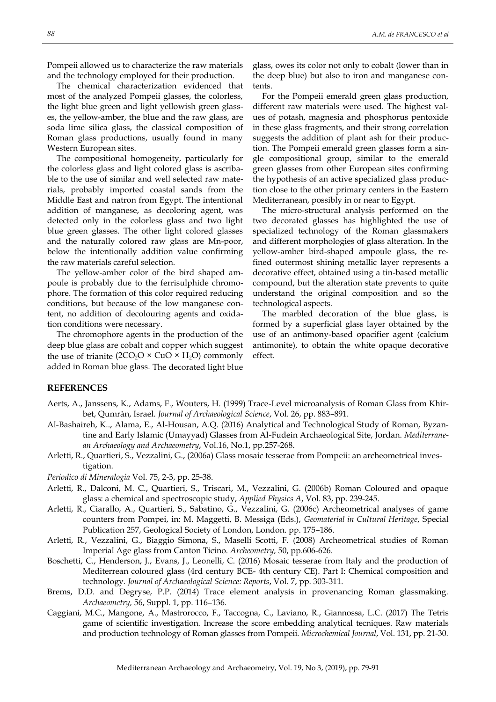Pompeii allowed us to characterize the raw materials and the technology employed for their production.

The chemical characterization evidenced that most of the analyzed Pompeii glasses, the colorless, the light blue green and light yellowish green glasses, the yellow-amber, the blue and the raw glass, are soda lime silica glass, the classical composition of Roman glass productions, usually found in many Western European sites.

The compositional homogeneity, particularly for the colorless glass and light colored glass is ascribable to the use of similar and well selected raw materials, probably imported coastal sands from the Middle East and natron from Egypt. The intentional addition of manganese, as decoloring agent, was detected only in the colorless glass and two light blue green glasses. The other light colored glasses and the naturally colored raw glass are Mn-poor, below the intentionally addition value confirming the raw materials careful selection.

The yellow-amber color of the bird shaped ampoule is probably due to the ferrisulphide chromophore. The formation of this color required reducing conditions, but because of the low manganese content, no addition of decolouring agents and oxidation conditions were necessary.

The chromophore agents in the production of the deep blue glass are cobalt and copper which suggest the use of trianite ( $2CO<sub>2</sub>O \times CuO \times H<sub>2</sub>O$ ) commonly added in Roman blue glass. The decorated light blue

glass, owes its color not only to cobalt (lower than in the deep blue) but also to iron and manganese contents.

For the Pompeii emerald green glass production, different raw materials were used. The highest values of potash, magnesia and phosphorus pentoxide in these glass fragments, and their strong correlation suggests the addition of plant ash for their production. The Pompeii emerald green glasses form a single compositional group, similar to the emerald green glasses from other European sites confirming the hypothesis of an active specialized glass production close to the other primary centers in the Eastern Mediterranean, possibly in or near to Egypt.

The micro-structural analysis performed on the two decorated glasses has highlighted the use of specialized technology of the Roman glassmakers and different morphologies of glass alteration. In the yellow-amber bird-shaped ampoule glass, the refined outermost shining metallic layer represents a decorative effect, obtained using a tin-based metallic compound, but the alteration state prevents to quite understand the original composition and so the technological aspects.

The marbled decoration of the blue glass, is formed by a superficial glass layer obtained by the use of an antimony-based opacifier agent (calcium antimonite), to obtain the white opaque decorative effect.

## **REFERENCES**

- Aerts, A., Janssens, K., Adams, F., Wouters, H. (1999) Trace-Level microanalysis of Roman Glass from Khirbet, Qumrân, Israel. *Journal of Archaeological Science*, Vol. 26, pp. 883–891.
- Al-Bashaireh, K.., Alama, E., Al-Housan, A.Q. (2016) Analytical and Technological Study of Roman, Byzantine and Early Islamic (Umayyad) Glasses from Al-Fudein Archaeological Site, Jordan. *Mediterranean Archaeology and Archaeometry*, Vol.16, No.1, pp.257-268.
- Arletti, R., Quartieri, S., Vezzalini, G., (2006a) Glass mosaic tesserae from Pompeii: an archeometrical investigation.
- *Periodico di Mineralogia* Vol. 75, 2-3, pp. 25-38.
- Arletti, R., Dalconi, M. C., Quartieri, S., Triscari, M., Vezzalini, G. (2006b) Roman Coloured and opaque glass: a chemical and spectroscopic study, *Applied Physics A*, Vol. 83, pp. 239-245.
- Arletti, R., Ciarallo, A., Quartieri, S., Sabatino, G., Vezzalini, G. (2006c) Archeometrical analyses of game counters from Pompei, in: M. Maggetti, B. Messiga (Eds.), *Geomaterial in Cultural Heritage*, Special Publication 257, Geological Society of London, London. pp. 175–186.
- Arletti, R., Vezzalini, G., Biaggio Simona, S., Maselli Scotti, F. (2008) Archeometrical studies of Roman Imperial Age glass from Canton Ticino. *Archeometry,* 50, pp.606-626.
- Boschetti, C., Henderson, J., Evans, J., Leonelli, C. (2016) Mosaic tesserae from Italy and the production of Mediterrean coloured glass (4rd century BCE- 4th century CE). Part I: Chemical composition and technology. *Journal of Archaeological Science: Reports*, Vol. 7, pp. 303-311.
- Brems, D.D. and Degryse, P.P. (2014) Trace element analysis in provenancing Roman glassmaking. *Archaeometry,* 56, Suppl. 1, pp. 116–136.
- Caggiani, M.C., Mangone, A., Mastrorocco, F., Taccogna, C., Laviano, R., Giannossa, L.C. (2017) The Tetris game of scientific investigation. Increase the score embedding analytical tecniques. Raw materials and production technology of Roman glasses from Pompeii. *Microchemical Journal*, Vol. 131, pp. 21-30.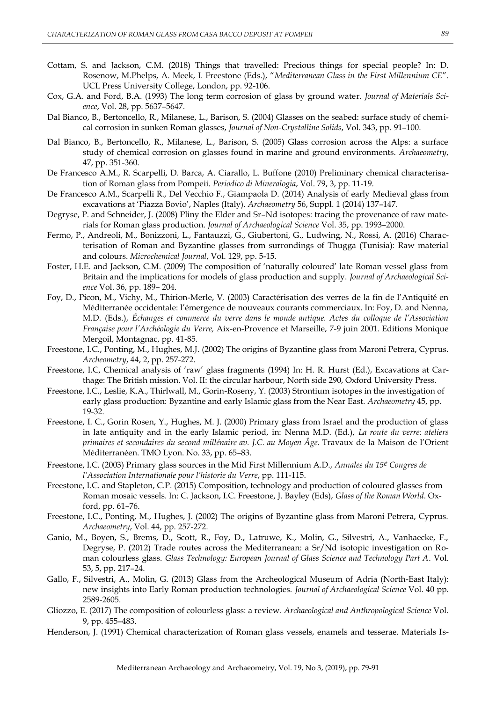- Cottam, S. and Jackson, C.M. (2018) Things that travelled: Precious things for special people? In: D. Rosenow, M.Phelps, A. Meek, I. Freestone (Eds.), "*Mediterranean Glass in the First Millennium CE*". UCL Press University College, London, pp. 92-106.
- Cox, G.A. and Ford, B.A. (1993) The long term corrosion of glass by ground water. *Journal of Materials Science*, Vol. 28, pp. 5637–5647.
- Dal Bianco, B., Bertoncello, R., Milanese, L., Barison, S. (2004) Glasses on the seabed: surface study of chemical corrosion in sunken Roman glasses, *Journal of Non-Crystalline Solids*, Vol. 343, pp. 91–100.
- Dal Bianco, B., Bertoncello, R., Milanese, L., Barison, S. (2005) Glass corrosion across the Alps: a surface study of chemical corrosion on glasses found in marine and ground environments. *Archaeometry*, 47, pp. 351-360.
- De Francesco A.M., R. Scarpelli, D. Barca, A. Ciarallo, L. Buffone (2010) Preliminary chemical characterisation of Roman glass from Pompeii. *Periodico di Mineralogia*, Vol. 79, 3, pp. 11-19.
- De Francesco A.M., Scarpelli R., Del Vecchio F., Giampaola D. (2014) Analysis of early Medieval glass from excavations at "Piazza Bovio", Naples (Italy). *Archaeometry* 56, Suppl. 1 (2014) 137–147.
- Degryse, P. and Schneider, J. (2008) Pliny the Elder and Sr–Nd isotopes: tracing the provenance of raw materials for Roman glass production. *Journal of Archaeological Science* Vol. 35, pp. 1993–2000.
- Fermo, P., Andreoli, M., Bonizzoni, L., Fantauzzi, G., Giubertoni, G., Ludwing, N., Rossi, A. (2016) Characterisation of Roman and Byzantine glasses from surrondings of Thugga (Tunisia): Raw material and colours. *Microchemical Journal*, Vol. 129, pp. 5-15.
- Foster, H.E. and Jackson, C.M. (2009) The composition of "naturally coloured" late Roman vessel glass from Britain and the implications for models of glass production and supply. *Journal of Archaeological Science* Vol. 36, pp. 189– 204.
- Foy, D., Picon, M., Vichy, M., Thirion-Merle, V. (2003) Caractérisation des verres de la fin de l"Antiquité en Méditerranée occidentale: l"émergence de nouveaux courants commerciaux. In: Foy, D. and Nenna, M.D. (Eds.), *Échanges et commerce du verre dans le monde antique. Actes du colloque de l'Association Française pour l'Archéologie du Verre,* Aix-en-Provence et Marseille, 7-9 juin 2001*.* Editions Monique Mergoil, Montagnac, pp. 41-85.
- Freestone, I.C., Ponting, M., Hughes, M.J. (2002) The origins of Byzantine glass from Maroni Petrera, Cyprus. *Archeometry*, 44, 2, pp. 257-272.
- Freestone, I.C, Chemical analysis of "raw" glass fragments (1994) In: H. R. Hurst (Ed.), Excavations at Carthage: The British mission. Vol. II: the circular harbour, North side 290, Oxford University Press.
- Freestone, I.C., Leslie, K.A., Thirlwall, M., Gorin-Roseny, Y. (2003) Strontium isotopes in the investigation of early glass production: Byzantine and early Islamic glass from the Near East. *Archaeometry* 45, pp. 19-32.
- Freestone, I. C., Gorin Rosen, Y., Hughes, M. J. (2000) Primary glass from Israel and the production of glass in late antiquity and in the early Islamic period, in: Nenna M.D. (Ed.), *La route du verre: ateliers primaires et secondaires du second millénaire av. J.C. au Moyen Âge.* Travaux de la Maison de l"Orient Méditerranéen. TMO Lyon. No. 33, pp. 65–83.
- Freestone, I.C. (2003) Primary glass sources in the Mid First Millennium A.D., *Annales du 15e Congres de l'Association Internationale pour l'historie du Verre*, pp. 111-115.
- Freestone, I.C. and Stapleton, C.P. (2015) Composition, technology and production of coloured glasses from Roman mosaic vessels. In: C. Jackson, I.C. Freestone, J. Bayley (Eds), *Glass of the Roman World*. Oxford, pp. 61–76.
- Freestone, I.C., Ponting, M., Hughes, J. (2002) The origins of Byzantine glass from Maroni Petrera, Cyprus. *Archaeometry*, Vol. 44, pp. 257-272.
- Ganio, M., Boyen, S., Brems, D., Scott, R., Foy, D., Latruwe, K., Molin, G., Silvestri, A., Vanhaecke, F., Degryse, P. (2012) Trade routes across the Mediterranean: a Sr/Nd isotopic investigation on Roman colourless glass. *Glass Technology: European Journal of Glass Science and Technology Part A*. Vol. 53, 5, pp. 217–24.
- Gallo, F., Silvestri, A., Molin, G. (2013) Glass from the Archeological Museum of Adria (North-East Italy): new insights into Early Roman production technologies. *Journal of Archaeological Science* Vol. 40 pp. 2589-2605.
- Gliozzo, E. (2017) The composition of colourless glass: a review. *Archaeological and Anthropological Science* Vol. 9, pp. 455–483.
- Henderson, J. (1991) Chemical characterization of Roman glass vessels, enamels and tesserae. Materials Is-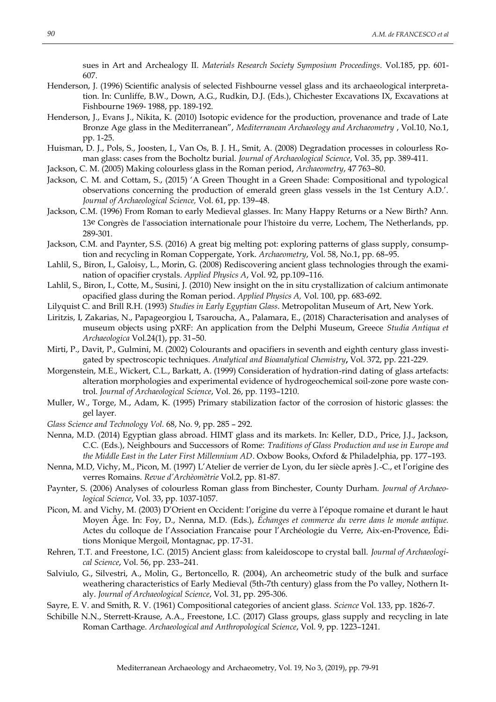sues in Art and Archealogy II. *Materials Research Society Symposium Proceedings*. Vol.185, pp. 601- 607.

- Henderson, J. (1996) Scientific analysis of selected Fishbourne vessel glass and its archaeological interpretation. In: Cunliffe, B.W., Down, A.G., Rudkin, D.J. (Eds.), Chichester Excavations IX, Excavations at Fishbourne 1969- 1988, pp. 189-192.
- Henderson, J., Evans J., Nikita, K. (2010) Isotopic evidence for the production, provenance and trade of Late Bronze Age glass in the Mediterranean", *Mediterranean Archaeology and Archaeometry* , Vol.10, No.1, pp. 1-25.
- Huisman, D. J., Pols, S., Joosten, I., Van Os, B. J. H., Smit, A. (2008) Degradation processes in colourless Roman glass: cases from the Bocholtz burial. *Journal of Archaeological Science*, Vol. 35, pp. 389-411.
- Jackson, C. M. (2005) Making colourless glass in the Roman period, *Archaeometry*, 47 763–80.
- Jackson, C. M. and Cottam, S., (2015) "A Green Thought in a Green Shade: Compositional and typological observations concerning the production of emerald green glass vessels in the 1st Century A.D.". *Journal of Archaeological Science,* Vol. 61, pp. 139–48.
- Jackson, C.M. (1996) From Roman to early Medieval glasses. In: Many Happy Returns or a New Birth? Ann. 13e Congrès de l'association internationale pour l'histoire du verre, Lochem, The Netherlands, pp. 289-301.
- Jackson, C.M. and Paynter, S.S. (2016) A great big melting pot: exploring patterns of glass supply, consumption and recycling in Roman Coppergate, York. *Archaeometry*, Vol. 58, No.1, pp. 68–95.
- Lahlil, S., Biron, I., Galoisy, L., Morin, G. (2008) Rediscovering ancient glass technologies through the examination of opacifier crystals. *Applied Physics A*, Vol. 92, pp.109–116.
- Lahlil, S., Biron, I., Cotte, M., Susini, J. (2010) New insight on the in situ crystallization of calcium antimonate opacified glass during the Roman period. *Applied Physics A,* Vol. 100, pp. 683-692.
- Lilyquist C. and Brill R.H. (1993) *Studies in Early Egyptian Glass*. Metropolitan Museum of Art, New York.
- Liritzis, I, Zakarias, N., Papageorgiou I, Tsaroucha, A., Palamara, E., (2018) Characterisation and analyses of museum objects using pXRF: An application from the Delphi Museum, Greece *Studia Antiqua et Archaeologica* Vol.24(1), pp. 31–50.
- Mirti, P., Davit, P., Gulmini, M. (2002) Colourants and opacifiers in seventh and eighth century glass investigated by spectroscopic techniques. *Analytical and Bioanalytical Chemistry***,** Vol. 372, pp. 221-229.
- Morgenstein, M.E., Wickert, C.L., Barkatt, A. (1999) Consideration of hydration-rind dating of glass artefacts: alteration morphologies and experimental evidence of hydrogeochemical soil-zone pore waste control. *Journal of Archaeological Science*, Vol. 26, pp. 1193–1210.
- Muller, W., Torge, M., Adam, K. (1995) Primary stabilization factor of the corrosion of historic glasses: the gel layer.
- *Glass Science and Technology Vol.* 68, No. 9, pp. 285 292.
- Nenna, M.D. (2014) Egyptian glass abroad. HIMT glass and its markets. In: Keller, D.D., Price, J.J., Jackson, C.C. (Eds.), Neighbours and Successors of Rome: *Traditions of Glass Production and use in Europe and the Middle East in the Later First Millennium AD*. Oxbow Books, Oxford & Philadelphia, pp. 177–193.
- Nenna, M.D, Vichy, M., Picon, M. (1997) L"Atelier de verrier de Lyon, du Ier siècle après J.-C., et l"origine des verres Romains. *Revue d'Archèomètrie* Vol.2, pp. 81-87.
- Paynter, S. (2006) Analyses of colourless Roman glass from Binchester, County Durham. *Journal of Archaeological Science*, Vol. 33, pp. 1037-1057.
- Picon, M. and Vichy, M. (2003) D"Orient en Occident: l"origine du verre à l"époque romaine et durant le haut Moyen Âge. In: Foy, D., Nenna, M.D. (Eds.), *Échanges et commerce du verre dans le monde antique.*  Actes du colloque de l"Association Francaise pour l"Archéologie du Verre, Aix-en-Provence, Éditions Monique Mergoil, Montagnac, pp. 17-31.
- Rehren, T.T. and Freestone, I.C. (2015) Ancient glass: from kaleidoscope to crystal ball. *Journal of Archaeological Science*, Vol. 56, pp. 233–241.
- Salviulo, G., Silvestri, A., Molin, G., Bertoncello, R. (2004), An archeometric study of the bulk and surface weathering characteristics of Early Medieval (5th-7th century) glass from the Po valley, Nothern Italy. *Journal of Archaeological Science*, Vol. 31, pp. 295-306.
- Sayre, E. V. and Smith, R. V. (1961) Compositional categories of ancient glass. *Science* Vol. 133, pp. 1826-7.
- Schibille N.N., Sterrett-Krause, A.A., Freestone, I.C. (2017) Glass groups, glass supply and recycling in late Roman Carthage. *Archaeological and Anthropological Science*, Vol. 9, pp. 1223–1241.